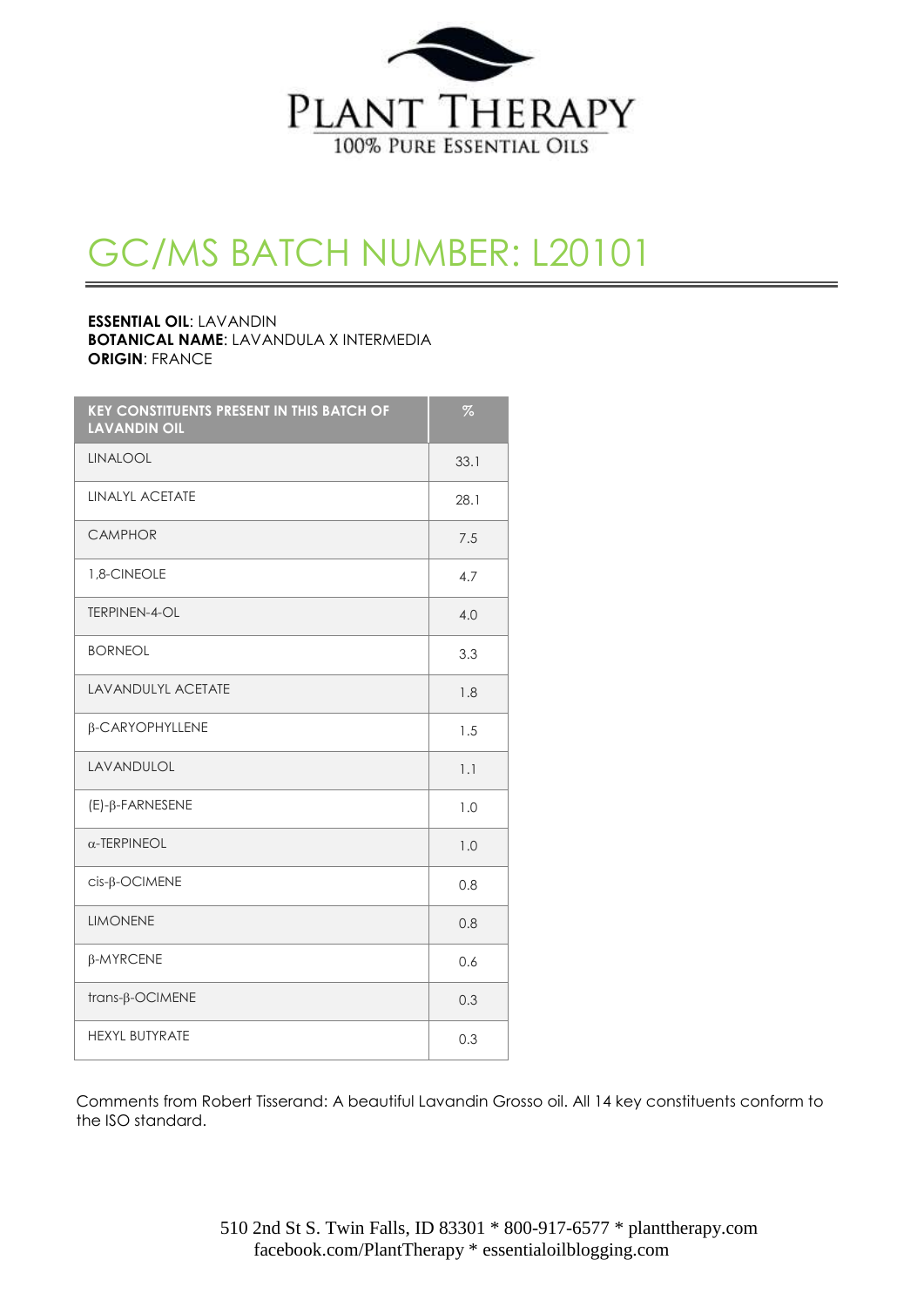

## GC/MS BATCH NUMBER: L20101

#### **ESSENTIAL OIL**: LAVANDIN **BOTANICAL NAME**: LAVANDULA X INTERMEDIA **ORIGIN**: FRANCE

| <b>KEY CONSTITUENTS PRESENT IN THIS BATCH OF</b><br><b>LAVANDIN OIL</b> | $\%$ |
|-------------------------------------------------------------------------|------|
| <b>LINALOOL</b>                                                         | 33.1 |
| <b>LINALYL ACETATE</b>                                                  | 28.1 |
| <b>CAMPHOR</b>                                                          | 7.5  |
| 1,8-CINEOLE                                                             | 4.7  |
| <b>TERPINEN-4-OL</b>                                                    | 4.0  |
| <b>BORNEOL</b>                                                          | 3.3  |
| <b>LAVANDULYL ACETATE</b>                                               | 1.8  |
| β-CARYOPHYLLENE                                                         | 1.5  |
| LAVANDULOL                                                              | 1.1  |
| (E)-β-FARNESENE                                                         | 1.0  |
| $\alpha$ -TERPINEOL                                                     | 1.0  |
| cis- <sub>B</sub> -OCIMENE                                              | 0.8  |
| <b>LIMONENE</b>                                                         | 0.8  |
| β-MYRCENE                                                               | 0.6  |
| trans-β-OCIMENE                                                         | 0.3  |
| <b>HEXYL BUTYRATE</b>                                                   | 0.3  |

Comments from Robert Tisserand: A beautiful Lavandin Grosso oil. All 14 key constituents conform to the ISO standard.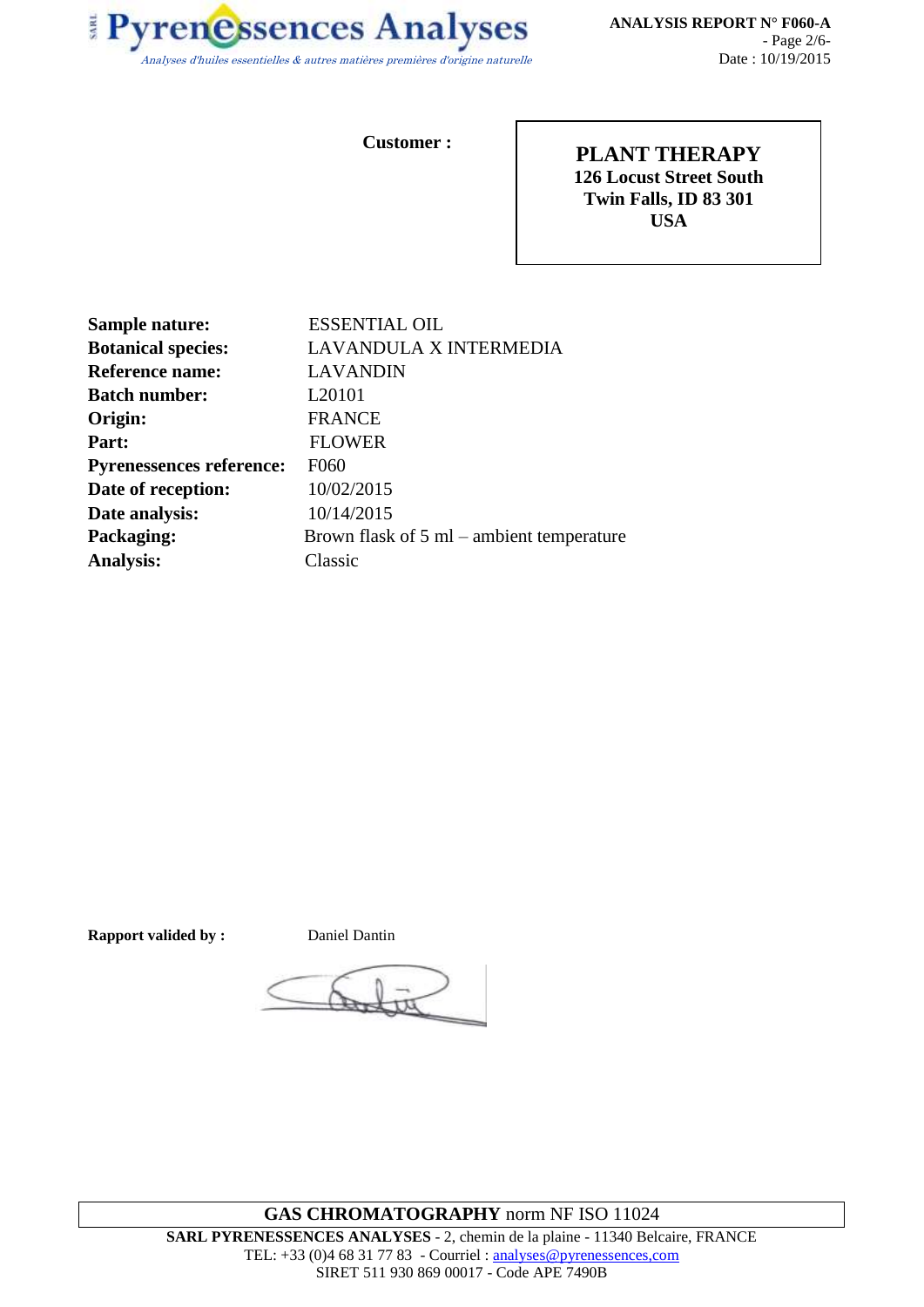

**Customer :**

**PLANT THERAPY 126 Locust Street South Twin Falls, ID 83 301 USA**

| Sample nature:                  | <b>ESSENTIAL OIL</b>                                |
|---------------------------------|-----------------------------------------------------|
| <b>Botanical species:</b>       | LAVANDULA X INTERMEDIA                              |
| <b>Reference name:</b>          | <b>LAVANDIN</b>                                     |
| <b>Batch number:</b>            | L <sub>20101</sub>                                  |
| Origin:                         | <b>FRANCE</b>                                       |
| Part:                           | <b>FLOWER</b>                                       |
| <b>Pyrenessences reference:</b> | F060                                                |
| Date of reception:              | 10/02/2015                                          |
| Date analysis:                  | 10/14/2015                                          |
| Packaging:                      | Brown flask of $5 \text{ ml}$ – ambient temperature |
| <b>Analysis:</b>                | Classic                                             |

**Rapport valided by :** Daniel Dantin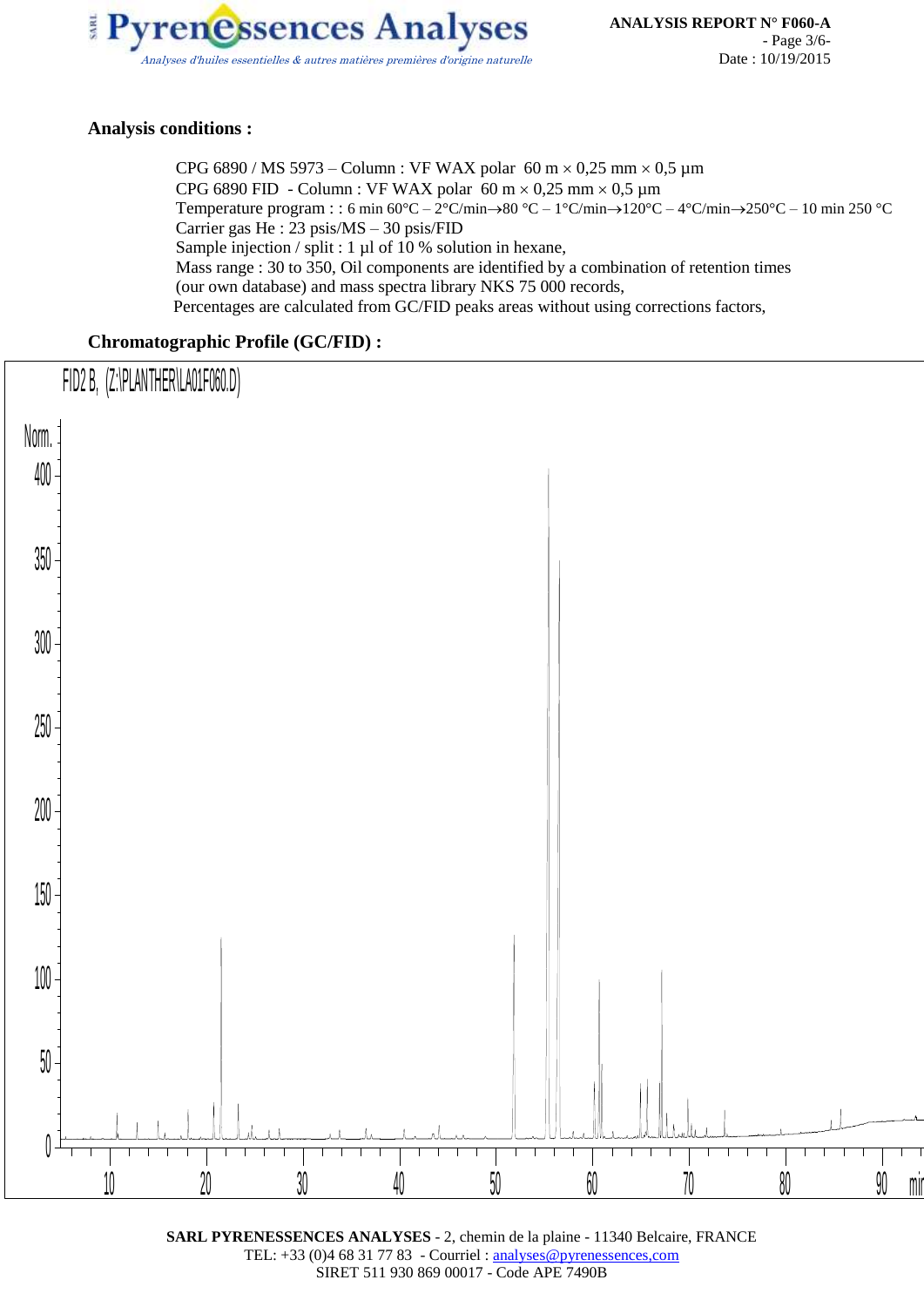

#### **Analysis conditions :**

CPG 6890 / MS 5973 – Column : VF WAX polar 60 m  $\times$  0,25 mm  $\times$  0,5 µm CPG 6890 FID - Column : VF WAX polar 60 m  $\times$  0,25 mm  $\times$  0,5 µm Temperature program : : 6 min  $60^{\circ}C - 2^{\circ}C/\text{min} \rightarrow 80^{\circ}C - 1^{\circ}C/\text{min} \rightarrow 120^{\circ}C - 4^{\circ}C/\text{min} \rightarrow 250^{\circ}C - 10$  min 250 °C Carrier gas He : 23 psis/MS – 30 psis/FID Sample injection / split : 1 µl of 10 % solution in hexane, Mass range : 30 to 350, Oil components are identified by a combination of retention times (our own database) and mass spectra library NKS 75 000 records, Percentages are calculated from GC/FID peaks areas without using corrections factors,

#### **Chromatographic Profile (GC/FID) :**



**SARL PYRENESSENCES ANALYSES** - 2, chemin de la plaine - 11340 Belcaire, FRANCE TEL: +33 (0)4 68 31 77 83 - Courriel : analyses@pyrenessences,com SIRET 511 930 869 00017 - Code APE 7490B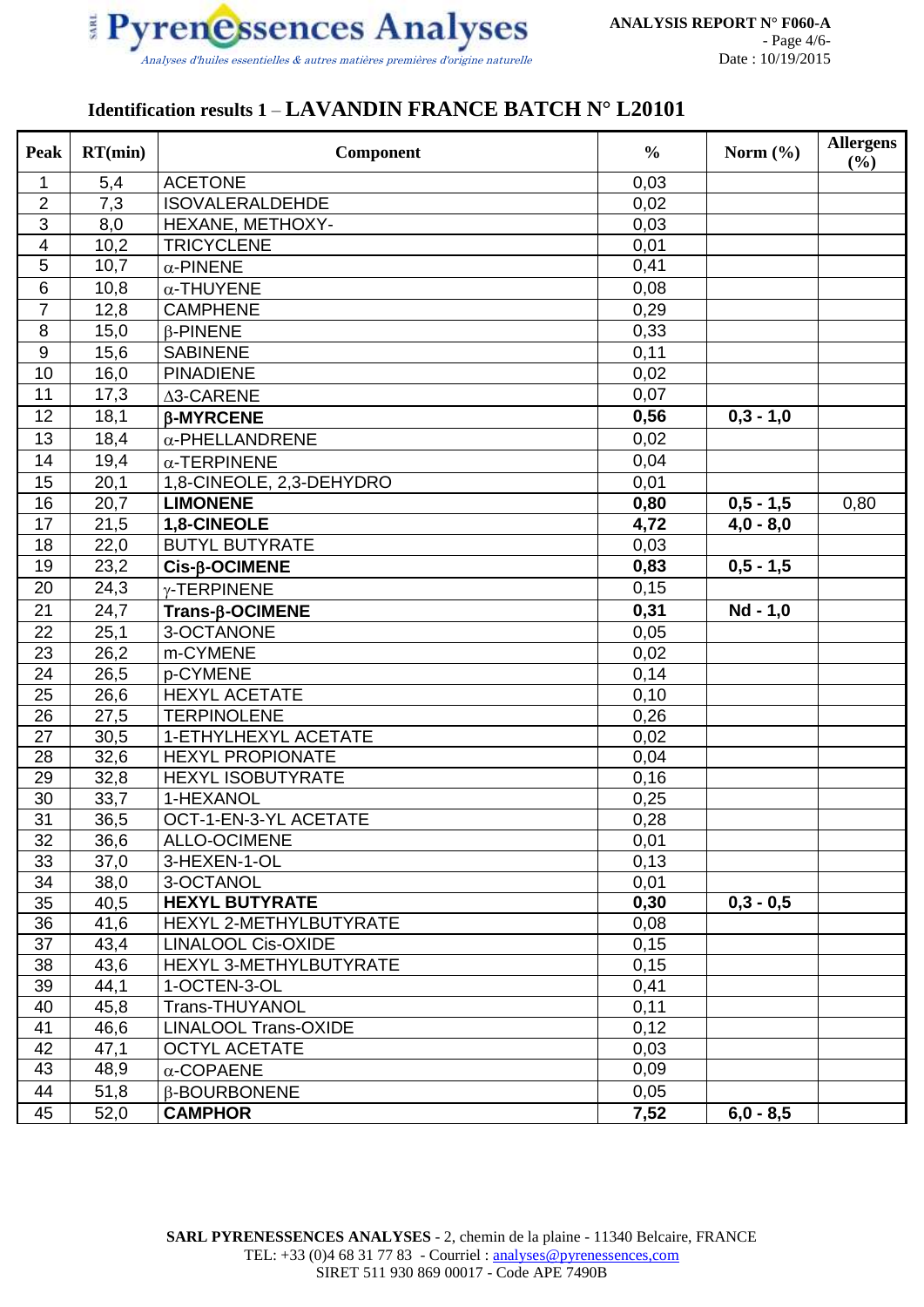

### **Identification results 1** – **LAVANDIN FRANCE BATCH N° L20101**

| Peak                | RT(min)      | Component                          | $\frac{0}{0}$ | Norm $(\% )$ | <b>Allergens</b><br>(%) |
|---------------------|--------------|------------------------------------|---------------|--------------|-------------------------|
| 1                   | 5,4          | <b>ACETONE</b>                     | 0,03          |              |                         |
| 2                   | 7,3          | <b>ISOVALERALDEHDE</b>             | 0,02          |              |                         |
| 3                   | 8,0          | HEXANE, METHOXY-                   | 0,03          |              |                         |
| $\overline{4}$      | 10,2         | <b>TRICYCLENE</b>                  | 0,01          |              |                         |
| 5                   | 10,7         | $\alpha$ -PINENE                   | 0,41          |              |                         |
| 6                   | 10,8         | $\alpha$ -THUYENE                  | 0,08          |              |                         |
| $\overline{7}$      | 12,8         | <b>CAMPHENE</b>                    | 0,29          |              |                         |
| $\overline{\infty}$ | 15,0         | $\beta$ -PINENE                    | 0,33          |              |                         |
| $\boldsymbol{9}$    | 15,6         | <b>SABINENE</b>                    | 0,11          |              |                         |
| 10                  | 16,0         | <b>PINADIENE</b>                   | 0,02          |              |                         |
| 11                  | 17,3         | ∆3-CARENE                          | 0,07          |              |                         |
| 12                  | 18,1         | <b>β-MYRCENE</b>                   | 0,56          | $0,3 - 1,0$  |                         |
| 13                  | 18,4         | $\alpha$ -PHELLANDRENE             | 0,02          |              |                         |
| 14                  | 19,4         | $\alpha$ -TERPINENE                | 0,04          |              |                         |
| 15                  | 20,1         | 1,8-CINEOLE, 2,3-DEHYDRO           | 0,01          |              |                         |
| 16                  | 20,7         | <b>LIMONENE</b>                    | 0,80          | $0,5 - 1,5$  | 0,80                    |
| 17                  | 21,5         | 1,8-CINEOLE                        | 4,72          | $4,0 - 8,0$  |                         |
| 18                  | 22,0         | <b>BUTYL BUTYRATE</b>              | 0,03          |              |                         |
| 19                  | 23,2         | $Cis$ - $\beta$ -OCIMENE           | 0,83          | $0,5 - 1,5$  |                         |
| 20                  | 24,3         | γ-TERPINENE                        | 0,15          |              |                         |
| 21                  | 24,7         | Trans-ß-OCIMENE                    | 0,31          | Nd - 1,0     |                         |
| 22                  | 25,1         | 3-OCTANONE                         | 0,05          |              |                         |
| 23                  | 26,2         | m-CYMENE                           | 0,02          |              |                         |
| 24                  | 26,5         | p-CYMENE                           | 0,14          |              |                         |
| 25                  | 26,6         | <b>HEXYL ACETATE</b>               | 0,10          |              |                         |
| 26                  | 27,5         | <b>TERPINOLENE</b>                 | 0,26          |              |                         |
| 27                  | 30,5         | 1-ETHYLHEXYL ACETATE               | 0,02          |              |                         |
| 28                  | 32,6         | <b>HEXYL PROPIONATE</b>            | 0,04          |              |                         |
| 29                  | 32,8         | HEXYL ISOBUTYRATE                  | 0,16          |              |                         |
| 30                  | 33,7         | 1-HEXANOL                          | 0,25          |              |                         |
| $\overline{31}$     | 36,5         | OCT-1-EN-3-YL ACETATE              | 0,28          |              |                         |
| 32                  | 36,6         | <b>ALLO-OCIMENE</b>                | 0,01          |              |                         |
| 33                  | 37,0         | 3-HEXEN-1-OL                       | 0,13          |              |                         |
| 34                  | 38,0         | 3-OCTANOL<br><b>HEXYL BUTYRATE</b> | 0,01          |              |                         |
| 35<br>36            | 40,5<br>41,6 | HEXYL 2-METHYLBUTYRATE             | 0,30<br>0,08  | $0,3 - 0,5$  |                         |
| 37                  | 43,4         | <b>LINALOOL Cis-OXIDE</b>          | 0,15          |              |                         |
| 38                  | 43,6         | HEXYL 3-METHYLBUTYRATE             | 0,15          |              |                         |
| 39                  | 44,1         | 1-OCTEN-3-OL                       | 0,41          |              |                         |
| 40                  | 45,8         | Trans-THUYANOL                     | 0,11          |              |                         |
| 41                  | 46,6         | <b>LINALOOL Trans-OXIDE</b>        | 0,12          |              |                         |
| 42                  | 47,1         | <b>OCTYL ACETATE</b>               | 0,03          |              |                         |
| 43                  | 48,9         | $\alpha$ -COPAENE                  | 0,09          |              |                         |
| 44                  | 51,8         | <b>B-BOURBONENE</b>                | 0,05          |              |                         |
| 45                  | 52,0         | <b>CAMPHOR</b>                     | 7,52          | $6,0 - 8,5$  |                         |
|                     |              |                                    |               |              |                         |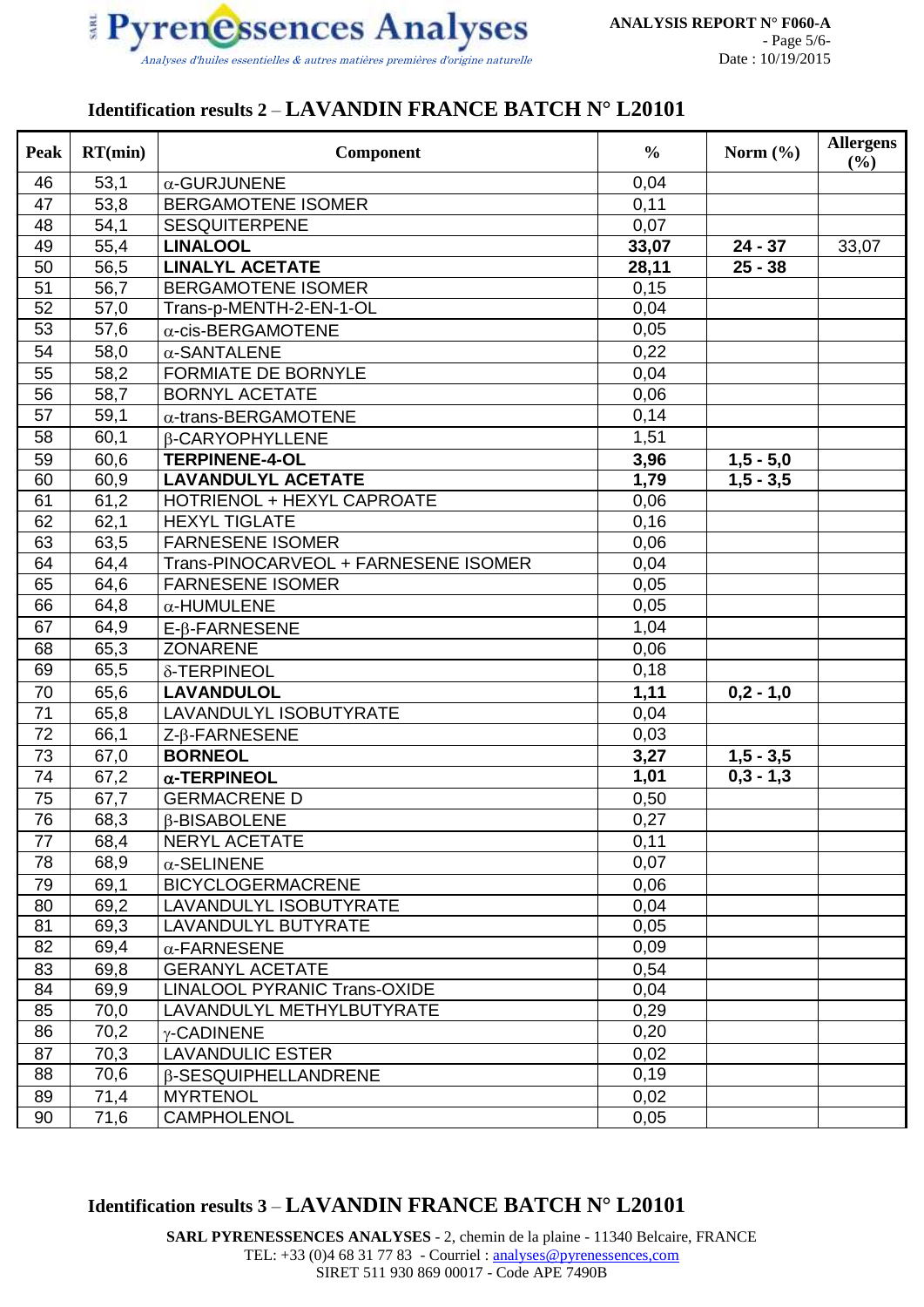

#### **Identification results 2** – **LAVANDIN FRANCE BATCH N° L20101**

| Peak            | RT(min) | Component                            | $\frac{0}{0}$ | Norm $(\% )$ | <b>Allergens</b><br>(%) |
|-----------------|---------|--------------------------------------|---------------|--------------|-------------------------|
| 46              | 53,1    | $\alpha$ -GURJUNENE                  | 0,04          |              |                         |
| 47              | 53,8    | <b>BERGAMOTENE ISOMER</b>            | 0,11          |              |                         |
| 48              | 54,1    | <b>SESQUITERPENE</b>                 | 0,07          |              |                         |
| 49              | 55,4    | <b>LINALOOL</b>                      | 33,07         | $24 - 37$    | 33,07                   |
| 50              | 56,5    | <b>LINALYL ACETATE</b>               | 28,11         | $25 - 38$    |                         |
| 51              | 56,7    | <b>BERGAMOTENE ISOMER</b>            | 0,15          |              |                         |
| 52              | 57,0    | Trans-p-MENTH-2-EN-1-OL              | 0,04          |              |                         |
| 53              | 57,6    | $\alpha$ -cis-BERGAMOTENE            | 0,05          |              |                         |
| 54              | 58,0    | $\alpha$ -SANTALENE                  | 0,22          |              |                         |
| 55              | 58,2    | <b>FORMIATE DE BORNYLE</b>           | 0,04          |              |                         |
| 56              | 58,7    | <b>BORNYL ACETATE</b>                | 0,06          |              |                         |
| 57              | 59,1    | $\alpha$ -trans-BERGAMOTENE          | 0,14          |              |                         |
| 58              | 60,1    | <b>B-CARYOPHYLLENE</b>               | 1,51          |              |                         |
| 59              | 60,6    | <b>TERPINENE-4-OL</b>                | 3,96          | $1,5 - 5,0$  |                         |
| 60              | 60,9    | <b>LAVANDULYL ACETATE</b>            | 1,79          | $1,5 - 3,5$  |                         |
| 61              | 61,2    | HOTRIENOL + HEXYL CAPROATE           | 0,06          |              |                         |
| 62              | 62,1    | <b>HEXYL TIGLATE</b>                 | 0,16          |              |                         |
| 63              | 63,5    | <b>FARNESENE ISOMER</b>              | 0,06          |              |                         |
| 64              | 64,4    | Trans-PINOCARVEOL + FARNESENE ISOMER | 0,04          |              |                         |
| 65              | 64,6    | <b>FARNESENE ISOMER</b>              | 0,05          |              |                         |
| 66              | 64,8    | $\alpha$ -HUMULENE                   | 0,05          |              |                         |
| 67              | 64,9    | $E$ - $\beta$ -FARNESENE             | 1,04          |              |                         |
| 68              | 65,3    | <b>ZONARENE</b>                      | 0,06          |              |                         |
| 69              | 65,5    | δ-TERPINEOL                          | 0,18          |              |                         |
| 70              | 65,6    | <b>LAVANDULOL</b>                    | 1,11          | $0,2 - 1,0$  |                         |
| 71              | 65,8    | LAVANDULYL ISOBUTYRATE               | 0,04          |              |                         |
| 72              | 66,1    | Z-β-FARNESENE                        | 0,03          |              |                         |
| 73              | 67,0    | <b>BORNEOL</b>                       | 3,27          | $1,5 - 3,5$  |                         |
| 74              | 67,2    | $\alpha$ -TERPINEOL                  | 1,01          | $0,3 - 1,3$  |                         |
| 75              | 67,7    | <b>GERMACRENE D</b>                  | 0,50          |              |                         |
| $\overline{76}$ | 68,3    | <b>B-BISABOLENE</b>                  | 0,27          |              |                         |
| 77              | 68,4    | NERYL ACETATE                        | 0,11          |              |                         |
| 78              | 68,9    | $\alpha$ -SELINENE                   | 0,07          |              |                         |
| 79              | 69,1    | <b>BICYCLOGERMACRENE</b>             | 0,06          |              |                         |
| 80              | 69,2    | LAVANDULYL ISOBUTYRATE               | 0,04          |              |                         |
| 81              | 69,3    | LAVANDULYL BUTYRATE                  | 0,05          |              |                         |
| 82              | 69,4    | $\alpha$ -FARNESENE                  | 0,09          |              |                         |
| 83              | 69,8    | <b>GERANYL ACETATE</b>               | 0,54          |              |                         |
| 84              | 69,9    | <b>LINALOOL PYRANIC Trans-OXIDE</b>  | 0,04          |              |                         |
| 85              | 70,0    | LAVANDULYL METHYLBUTYRATE            | 0,29          |              |                         |
| 86              | 70,2    | γ-CADINENE                           | 0,20          |              |                         |
| 87              | 70,3    | <b>LAVANDULIC ESTER</b>              | 0,02          |              |                         |
| 88              | 70,6    | <b>B-SESQUIPHELLANDRENE</b>          | 0,19          |              |                         |
| 89              | 71,4    | <b>MYRTENOL</b>                      | 0,02          |              |                         |
| 90              | 71,6    | <b>CAMPHOLENOL</b>                   | 0,05          |              |                         |

**Identification results 3** – **LAVANDIN FRANCE BATCH N° L20101**